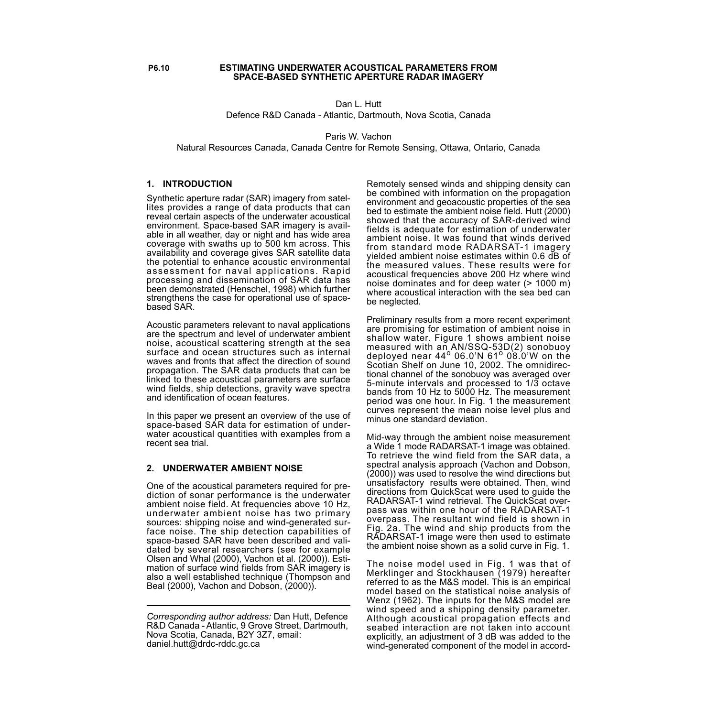#### **P6.10 ESTIMATING UNDERWATER ACOUSTICAL PARAMETERS FROM SPACE-BASED SYNTHETIC APERTURE RADAR IMAGERY**

Dan L. Hutt Defence R&D Canada - Atlantic, Dartmouth, Nova Scotia, Canada

Paris W. Vachon

Natural Resources Canada, Canada Centre for Remote Sensing, Ottawa, Ontario, Canada

# **1. INTRODUCTION**

Synthetic aperture radar (SAR) imagery from satellites provides a range of data products that can reveal certain aspects of the underwater acoustical environment. Space-based SAR imagery is available in all weather, day or night and has wide area coverage with swaths up to 500 km across. This availability and coverage gives SAR satellite data the potential to enhance acoustic environmental assessment for naval applications. Rapid processing and dissemination of SAR data has been demonstrated (Henschel, 1998) which further strengthens the case for operational use of spacebased SAR.

Acoustic parameters relevant to naval applications are the spectrum and level of underwater ambient noise, acoustical scattering strength at the sea surface and ocean structures such as internal waves and fronts that affect the direction of sound propagation. The SAR data products that can be linked to these acoustical parameters are surface wind fields, ship detections, gravity wave spectra and identification of ocean features.

In this paper we present an overview of the use of space-based SAR data for estimation of underwater acoustical quantities with examples from a recent sea trial.

# **2. UNDERWATER AMBIENT NOISE**

One of the acoustical parameters required for prediction of sonar performance is the underwater ambient noise field. At frequencies above 10 Hz, underwater ambient noise has two primary sources: shipping noise and wind-generated surface noise. The ship detection capabilities of space-based SAR have been described and validated by several researchers (see for example Olsen and Whal (2000), Vachon et al. (2000)). Estimation of surface wind fields from SAR imagery is also a well established technique (Thompson and Beal (2000), Vachon and Dobson, (2000)).

Remotely sensed winds and shipping density can be combined with information on the propagation environment and geoacoustic properties of the sea bed to estimate the ambient noise field. Hutt (2000) showed that the accuracy of SAR-derived wind fields is adequate for estimation of underwater ambient noise. It was found that winds derived from standard mode RADARSAT-1 imagery yielded ambient noise estimates within 0.6 dB of the measured values. These results were for acoustical frequencies above 200 Hz where wind noise dominates and for deep water (> 1000 m) where acoustical interaction with the sea bed can be neglected.

Preliminary results from a more recent experiment are promising for estimation of ambient noise in shallow water. Figure 1 shows ambient noise measured with an AN/SSQ-53D(2) sonobuoy deployed near  $44^{\circ}$  06.0'N 61<sup>o</sup> 08.0'W on the Scotian Shelf on June 10, 2002. The omnidirectional channel of the sonobuoy was averaged over 5-minute intervals and processed to 1/3 octave bands from 10 Hz to 5000 Hz. The measurement period was one hour. In Fig. 1 the measurement curves represent the mean noise level plus and minus one standard deviation.

Mid-way through the ambient noise measurement a Wide 1 mode RADARSAT-1 image was obtained. To retrieve the wind field from the SAR data, a spectral analysis approach (Vachon and Dobson, (2000)) was used to resolve the wind directions but unsatisfactory results were obtained. Then, wind directions from QuickScat were used to guide the RADARSAT-1 wind retrieval. The QuickScat overpass was within one hour of the RADARSAT-1 overpass. The resultant wind field is shown in Fig. 2a. The wind and ship products from the RADARSAT-1 image were then used to estimate the ambient noise shown as a solid curve in Fig. 1.

The noise model used in Fig. 1 was that of Merklinger and Stockhausen (1979) hereafter referred to as the M&S model. This is an empirical model based on the statistical noise analysis of Wenz (1962). The inputs for the M&S model are wind speed and a shipping density parameter. Although acoustical propagation effects and seabed interaction are not taken into account explicitly, an adjustment of 3 dB was added to the wind-generated component of the model in accord-

*Corresponding author address:* Dan Hutt, Defence R&D Canada - Atlantic, 9 Grove Street, Dartmouth, Nova Scotia, Canada, B2Y 3Z7, email: daniel.hutt@drdc-rddc.gc.ca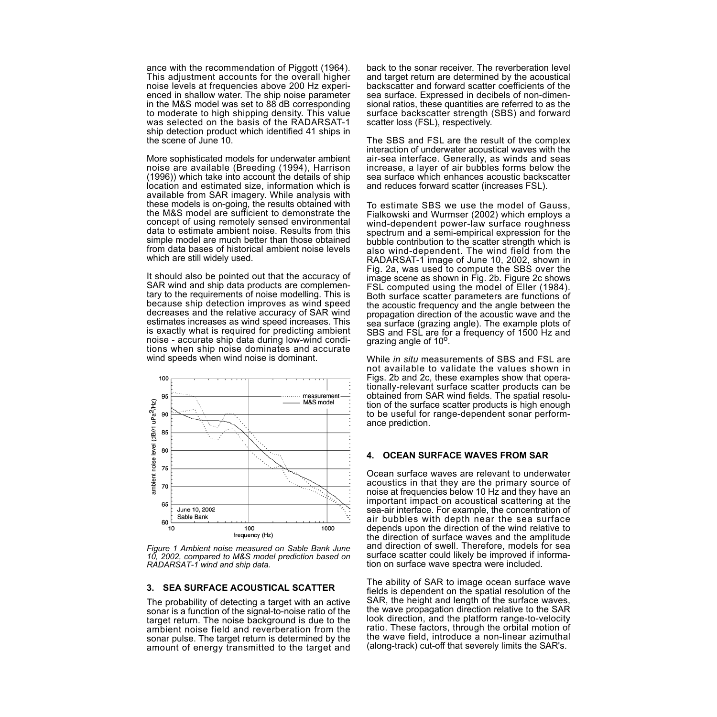ance with the recommendation of Piggott (1964). This adjustment accounts for the overall higher noise levels at frequencies above 200 Hz experienced in shallow water. The ship noise parameter in the M&S model was set to 88 dB corresponding to moderate to high shipping density. This value was selected on the basis of the RADARSAT-1 ship detection product which identified 41 ships in the scene of June 10.

More sophisticated models for underwater ambient noise are available (Breeding (1994), Harrison (1996)) which take into account the details of ship location and estimated size, information which is available from SAR imagery. While analysis with these models is on-going, the results obtained with the M&S model are sufficient to demonstrate the concept of using remotely sensed environmental data to estimate ambient noise. Results from this simple model are much better than those obtained from data bases of historical ambient noise levels which are still widely used.

It should also be pointed out that the accuracy of SAR wind and ship data products are complementary to the requirements of noise modelling. This is because ship detection improves as wind speed decreases and the relative accuracy of SAR wind estimates increases as wind speed increases. This is exactly what is required for predicting ambient noise - accurate ship data during low-wind conditions when ship noise dominates and accurate wind speeds when wind noise is dominant.



*Figure 1 Ambient noise measured on Sable Bank June 10, 2002, compared to M&S model prediction based on RADARSAT-1 wind and ship data.*

#### **3. SEA SURFACE ACOUSTICAL SCATTER**

The probability of detecting a target with an active sonar is a function of the signal-to-noise ratio of the target return. The noise background is due to the ambient noise field and reverberation from the sonar pulse. The target return is determined by the amount of energy transmitted to the target and back to the sonar receiver. The reverberation level and target return are determined by the acoustical backscatter and forward scatter coefficients of the sea surface. Expressed in decibels of non-dimensional ratios, these quantities are referred to as the surface backscatter strength (SBS) and forward scatter loss (FSL), respectively.

The SBS and FSL are the result of the complex interaction of underwater acoustical waves with the air-sea interface. Generally, as winds and seas increase, a layer of air bubbles forms below the sea surface which enhances acoustic backscatter and reduces forward scatter (increases FSL).

To estimate SBS we use the model of Gauss, Fialkowski and Wurmser (2002) which employs a wind-dependent power-law surface roughness spectrum and a semi-empirical expression for the bubble contribution to the scatter strength which is also wind-dependent. The wind field from the RADARSAT-1 image of June 10, 2002, shown in Fig. 2a, was used to compute the SBS over the image scene as shown in Fig. 2b. Figure 2c shows FSL computed using the model of Eller (1984). Both surface scatter parameters are functions of the acoustic frequency and the angle between the propagation direction of the acoustic wave and the sea surface (grazing angle). The example plots of SBS and FSL are for a frequency of 1500 Hz and grazing angle of  $10^{\circ}$ .

While *in situ* measurements of SBS and FSL are not available to validate the values shown in Figs. 2b and 2c, these examples show that operationally-relevant surface scatter products can be obtained from SAR wind fields. The spatial resolution of the surface scatter products is high enough to be useful for range-dependent sonar performance prediction.

### **4. OCEAN SURFACE WAVES FROM SAR**

Ocean surface waves are relevant to underwater acoustics in that they are the primary source of noise at frequencies below 10 Hz and they have an important impact on acoustical scattering at the sea-air interface. For example, the concentration of air bubbles with depth near the sea surface depends upon the direction of the wind relative to the direction of surface waves and the amplitude and direction of swell. Therefore, models for sea surface scatter could likely be improved if information on surface wave spectra were included.

The ability of SAR to image ocean surface wave fields is dependent on the spatial resolution of the SAR, the height and length of the surface waves, the wave propagation direction relative to the SAR look direction, and the platform range-to-velocity ratio. These factors, through the orbital motion of the wave field, introduce a non-linear azimuthal (along-track) cut-off that severely limits the SAR's.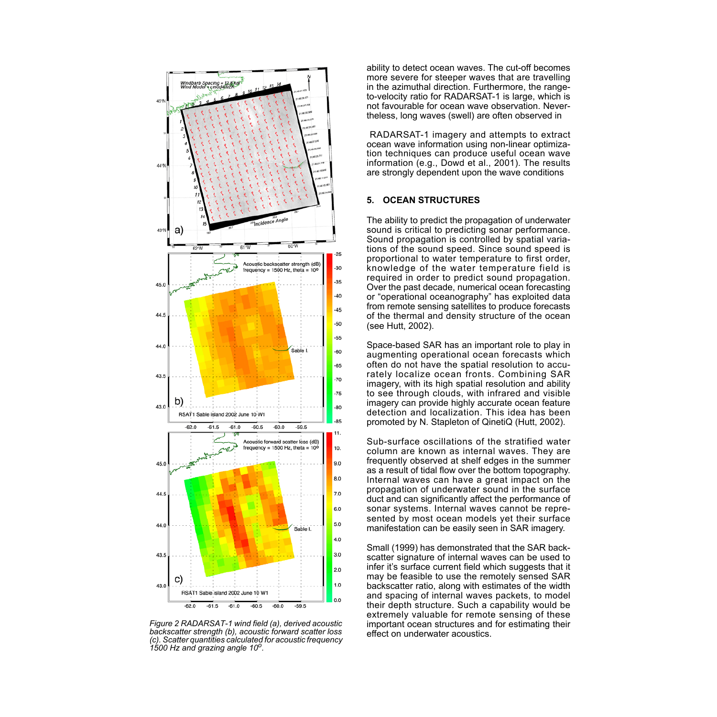

*Figure 2 RADARSAT-1 wind field (a), derived acoustic backscatter strength (b), acoustic forward scatter loss (c). Scatter quantities calculated for acoustic frequency 1500 Hz and grazing angle 10o.*

ability to detect ocean waves. The cut-off becomes more severe for steeper waves that are travelling in the azimuthal direction. Furthermore, the rangeto-velocity ratio for RADARSAT-1 is large, which is not favourable for ocean wave observation. Nevertheless, long waves (swell) are often observed in

RADARSAT-1 imagery and attempts to extract ocean wave information using non-linear optimization techniques can produce useful ocean wave information (e.g., Dowd et al., 2001). The results are strongly dependent upon the wave conditions

## **5. OCEAN STRUCTURES**

The ability to predict the propagation of underwater sound is critical to predicting sonar performance. Sound propagation is controlled by spatial variations of the sound speed. Since sound speed is proportional to water temperature to first order, knowledge of the water temperature field is required in order to predict sound propagation. Over the past decade, numerical ocean forecasting or "operational oceanography" has exploited data from remote sensing satellites to produce forecasts of the thermal and density structure of the ocean (see Hutt, 2002).

Space-based SAR has an important role to play in augmenting operational ocean forecasts which often do not have the spatial resolution to accurately localize ocean fronts. Combining SAR imagery, with its high spatial resolution and ability to see through clouds, with infrared and visible imagery can provide highly accurate ocean feature detection and localization. This idea has been promoted by N. Stapleton of QinetiQ (Hutt, 2002).

Sub-surface oscillations of the stratified water column are known as internal waves. They are frequently observed at shelf edges in the summer as a result of tidal flow over the bottom topography. Internal waves can have a great impact on the propagation of underwater sound in the surface duct and can significantly affect the performance of sonar systems. Internal waves cannot be represented by most ocean models yet their surface manifestation can be easily seen in SAR imagery.

Small (1999) has demonstrated that the SAR backscatter signature of internal waves can be used to infer it's surface current field which suggests that it may be feasible to use the remotely sensed SAR backscatter ratio, along with estimates of the width and spacing of internal waves packets, to model their depth structure. Such a capability would be extremely valuable for remote sensing of these important ocean structures and for estimating their effect on underwater acoustics.